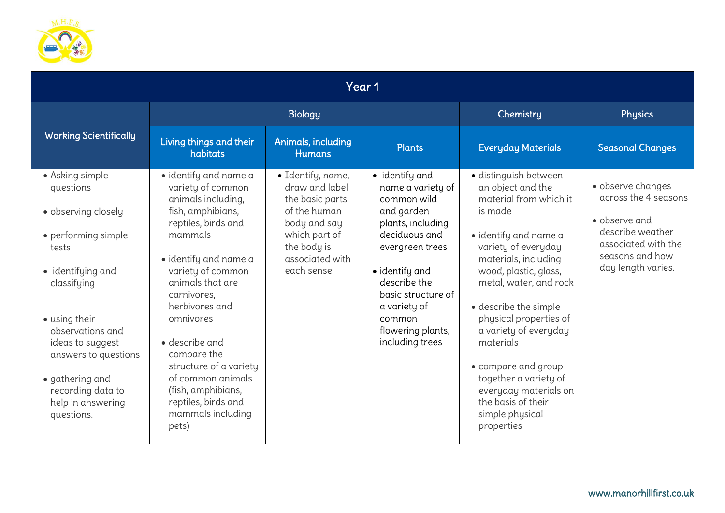

| Year 1                                                                                                                                                                                                                                                                              |                                                                                                                                                                                                                                                                                                                                                                                                    |                                                                                                                                                          |                                                                                                                                                                                                                                                     |                                                                                                                                                                                                                                                                                                                                                                                                                                     |                                                                                                                                                |  |  |
|-------------------------------------------------------------------------------------------------------------------------------------------------------------------------------------------------------------------------------------------------------------------------------------|----------------------------------------------------------------------------------------------------------------------------------------------------------------------------------------------------------------------------------------------------------------------------------------------------------------------------------------------------------------------------------------------------|----------------------------------------------------------------------------------------------------------------------------------------------------------|-----------------------------------------------------------------------------------------------------------------------------------------------------------------------------------------------------------------------------------------------------|-------------------------------------------------------------------------------------------------------------------------------------------------------------------------------------------------------------------------------------------------------------------------------------------------------------------------------------------------------------------------------------------------------------------------------------|------------------------------------------------------------------------------------------------------------------------------------------------|--|--|
|                                                                                                                                                                                                                                                                                     | <b>Biology</b>                                                                                                                                                                                                                                                                                                                                                                                     |                                                                                                                                                          |                                                                                                                                                                                                                                                     | Chemistry                                                                                                                                                                                                                                                                                                                                                                                                                           | Physics                                                                                                                                        |  |  |
| <b>Working Scientifically</b>                                                                                                                                                                                                                                                       | Living things and their<br>habitats                                                                                                                                                                                                                                                                                                                                                                | Animals, including<br><b>Humans</b>                                                                                                                      | <b>Plants</b>                                                                                                                                                                                                                                       | <b>Everyday Materials</b>                                                                                                                                                                                                                                                                                                                                                                                                           | <b>Seasonal Changes</b>                                                                                                                        |  |  |
| • Asking simple<br>questions<br>· observing closely<br>· performing simple<br>tests<br>• identifying and<br>classifying<br>• using their<br>observations and<br>ideas to suggest<br>answers to questions<br>• gathering and<br>recording data to<br>help in answering<br>questions. | · identify and name a<br>variety of common<br>animals including,<br>fish, amphibians,<br>reptiles, birds and<br>mammals<br>· identify and name a<br>variety of common<br>animals that are<br>carnivores,<br>herbivores and<br>omnivores<br>· describe and<br>compare the<br>structure of a variety<br>of common animals<br>(fish, amphibians,<br>reptiles, birds and<br>mammals including<br>pets) | · Identify, name,<br>draw and label<br>the basic parts<br>of the human<br>body and say<br>which part of<br>the body is<br>associated with<br>each sense. | · identify and<br>name a variety of<br>common wild<br>and garden<br>plants, including<br>deciduous and<br>evergreen trees<br>• identify and<br>describe the<br>basic structure of<br>a variety of<br>common<br>flowering plants,<br>including trees | · distinguish between<br>an object and the<br>material from which it<br>is made<br>· identify and name a<br>variety of everyday<br>materials, including<br>wood, plastic, glass,<br>metal, water, and rock<br>• describe the simple<br>physical properties of<br>a variety of everyday<br>materials<br>• compare and group<br>together a variety of<br>everyday materials on<br>the basis of their<br>simple physical<br>properties | · observe changes<br>across the 4 seasons<br>· observe and<br>describe weather<br>associated with the<br>seasons and how<br>day length varies. |  |  |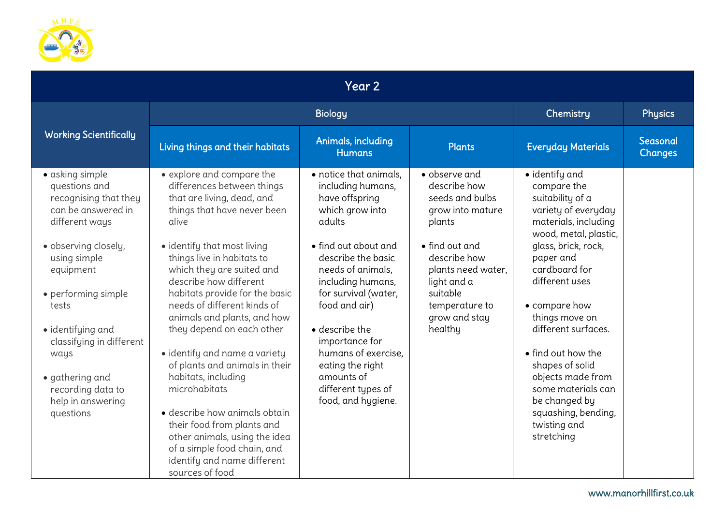

| Year 2                                                                                                                                                                                                                                                                                                                    |                                                                                                                                                                                                                                                                                                                                                                                                                                                                                                                                                                                                                                                                            |                                                                                                                                                                                                                                                                                                                                                                      |                                                                                                                                                                                                                 |                                                                                                                                                                                                                                                                                                                                                                                                                      |                     |  |  |
|---------------------------------------------------------------------------------------------------------------------------------------------------------------------------------------------------------------------------------------------------------------------------------------------------------------------------|----------------------------------------------------------------------------------------------------------------------------------------------------------------------------------------------------------------------------------------------------------------------------------------------------------------------------------------------------------------------------------------------------------------------------------------------------------------------------------------------------------------------------------------------------------------------------------------------------------------------------------------------------------------------------|----------------------------------------------------------------------------------------------------------------------------------------------------------------------------------------------------------------------------------------------------------------------------------------------------------------------------------------------------------------------|-----------------------------------------------------------------------------------------------------------------------------------------------------------------------------------------------------------------|----------------------------------------------------------------------------------------------------------------------------------------------------------------------------------------------------------------------------------------------------------------------------------------------------------------------------------------------------------------------------------------------------------------------|---------------------|--|--|
|                                                                                                                                                                                                                                                                                                                           |                                                                                                                                                                                                                                                                                                                                                                                                                                                                                                                                                                                                                                                                            | Chemistry                                                                                                                                                                                                                                                                                                                                                            | Physics                                                                                                                                                                                                         |                                                                                                                                                                                                                                                                                                                                                                                                                      |                     |  |  |
| <b>Working Scientifically</b>                                                                                                                                                                                                                                                                                             | Living things and their habitats                                                                                                                                                                                                                                                                                                                                                                                                                                                                                                                                                                                                                                           | Animals, including<br><b>Humans</b>                                                                                                                                                                                                                                                                                                                                  | <b>Plants</b>                                                                                                                                                                                                   | <b>Everyday Materials</b>                                                                                                                                                                                                                                                                                                                                                                                            | Seasonal<br>Changes |  |  |
| · asking simple<br>questions and<br>recognising that they<br>can be answered in<br>different ways<br>· observing closely,<br>using simple<br>equipment<br>• performing simple<br>tests<br>· identifying and<br>classifying in different<br>ways<br>• gathering and<br>recording data to<br>help in answering<br>questions | • explore and compare the<br>differences between things<br>that are living, dead, and<br>things that have never been<br>alive<br>· identify that most living<br>things live in habitats to<br>which they are suited and<br>describe how different<br>habitats provide for the basic<br>needs of different kinds of<br>animals and plants, and how<br>they depend on each other<br>· identify and name a variety<br>of plants and animals in their<br>habitats, including<br>microhabitats<br>• describe how animals obtain<br>their food from plants and<br>other animals, using the idea<br>of a simple food chain, and<br>identify and name different<br>sources of food | • notice that animals.<br>including humans,<br>have offspring<br>which grow into<br>adults<br>• find out about and<br>describe the basic<br>needs of animals.<br>including humans,<br>for survival (water,<br>food and air)<br>• describe the<br>importance for<br>humans of exercise.<br>eating the right<br>amounts of<br>different types of<br>food, and hygiene. | • observe and<br>describe how<br>seeds and bulbs<br>grow into mature<br>plants<br>• find out and<br>describe how<br>plants need water,<br>light and a<br>suitable<br>temperature to<br>grow and stay<br>healthy | · identify and<br>compare the<br>suitability of a<br>variety of everyday<br>materials, including<br>wood, metal, plastic,<br>glass, brick, rock,<br>paper and<br>cardboard for<br>different uses<br>• compare how<br>things move on<br>different surfaces.<br>• find out how the<br>shapes of solid<br>objects made from<br>some materials can<br>be changed by<br>squashing, bending,<br>twisting and<br>stretching |                     |  |  |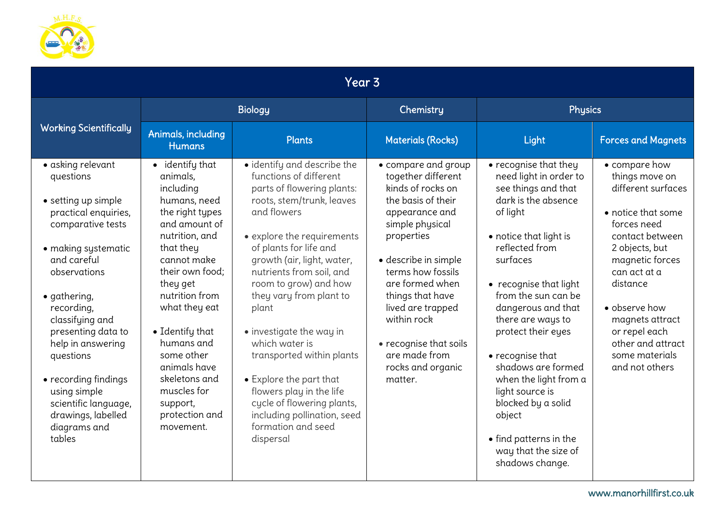

| Year <sub>3</sub>                                                                                                                                                                                                                                                                                                                                                                 |                                                                                                                                                                                                                                                                                                                                                        |                                                                                                                                                                                                                                                                                                                                                                                                                                                                                                                                                  |                                                                                                                                                                                                                                                                                                                                            |                                                                                                                                                                                                                                                                                                                                                                                                                                                                                |                                                                                                                                                                                                                                                                                              |  |
|-----------------------------------------------------------------------------------------------------------------------------------------------------------------------------------------------------------------------------------------------------------------------------------------------------------------------------------------------------------------------------------|--------------------------------------------------------------------------------------------------------------------------------------------------------------------------------------------------------------------------------------------------------------------------------------------------------------------------------------------------------|--------------------------------------------------------------------------------------------------------------------------------------------------------------------------------------------------------------------------------------------------------------------------------------------------------------------------------------------------------------------------------------------------------------------------------------------------------------------------------------------------------------------------------------------------|--------------------------------------------------------------------------------------------------------------------------------------------------------------------------------------------------------------------------------------------------------------------------------------------------------------------------------------------|--------------------------------------------------------------------------------------------------------------------------------------------------------------------------------------------------------------------------------------------------------------------------------------------------------------------------------------------------------------------------------------------------------------------------------------------------------------------------------|----------------------------------------------------------------------------------------------------------------------------------------------------------------------------------------------------------------------------------------------------------------------------------------------|--|
| <b>Working Scientifically</b>                                                                                                                                                                                                                                                                                                                                                     | <b>Biology</b>                                                                                                                                                                                                                                                                                                                                         |                                                                                                                                                                                                                                                                                                                                                                                                                                                                                                                                                  | Chemistry                                                                                                                                                                                                                                                                                                                                  | <b>Physics</b>                                                                                                                                                                                                                                                                                                                                                                                                                                                                 |                                                                                                                                                                                                                                                                                              |  |
|                                                                                                                                                                                                                                                                                                                                                                                   | Animals, including<br><b>Humans</b>                                                                                                                                                                                                                                                                                                                    | <b>Plants</b>                                                                                                                                                                                                                                                                                                                                                                                                                                                                                                                                    | <b>Materials (Rocks)</b>                                                                                                                                                                                                                                                                                                                   | Light                                                                                                                                                                                                                                                                                                                                                                                                                                                                          | <b>Forces and Magnets</b>                                                                                                                                                                                                                                                                    |  |
| · asking relevant<br>questions<br>• setting up simple<br>practical enquiries,<br>comparative tests<br>• making systematic<br>and careful<br>observations<br>· gathering,<br>recording,<br>classifying and<br>presenting data to<br>help in answering<br>questions<br>• recording findings<br>using simple<br>scientific language,<br>drawings, labelled<br>diagrams and<br>tables | • identify that<br>animals.<br>including<br>humans, need<br>the right types<br>and amount of<br>nutrition, and<br>that they<br>cannot make<br>their own food:<br>they get<br>nutrition from<br>what they eat<br>• Identify that<br>humans and<br>some other<br>animals have<br>skeletons and<br>muscles for<br>support,<br>protection and<br>movement. | · identify and describe the<br>functions of different<br>parts of flowering plants:<br>roots, stem/trunk, leaves<br>and flowers<br>• explore the requirements<br>of plants for life and<br>growth (air, light, water,<br>nutrients from soil, and<br>room to grow) and how<br>they vary from plant to<br>plant<br>• investigate the way in<br>which water is<br>transported within plants<br>• Explore the part that<br>flowers play in the life<br>cycle of flowering plants,<br>including pollination, seed<br>formation and seed<br>dispersal | • compare and group<br>together different<br>kinds of rocks on<br>the basis of their<br>appearance and<br>simple physical<br>properties<br>· describe in simple<br>terms how fossils<br>are formed when<br>things that have<br>lived are trapped<br>within rock<br>• recognise that soils<br>are made from<br>rocks and organic<br>matter. | • recognise that they<br>need light in order to<br>see things and that<br>dark is the absence<br>of light<br>• notice that light is<br>reflected from<br>surfaces<br>• recognise that light<br>from the sun can be<br>dangerous and that<br>there are ways to<br>protect their eyes<br>• recognise that<br>shadows are formed<br>when the light from a<br>light source is<br>blocked by a solid<br>object<br>• find patterns in the<br>way that the size of<br>shadows change. | • compare how<br>things move on<br>different surfaces<br>• notice that some<br>forces need<br>contact between<br>2 objects, but<br>magnetic forces<br>can act at a<br>distance<br>· observe how<br>magnets attract<br>or repel each<br>other and attract<br>some materials<br>and not others |  |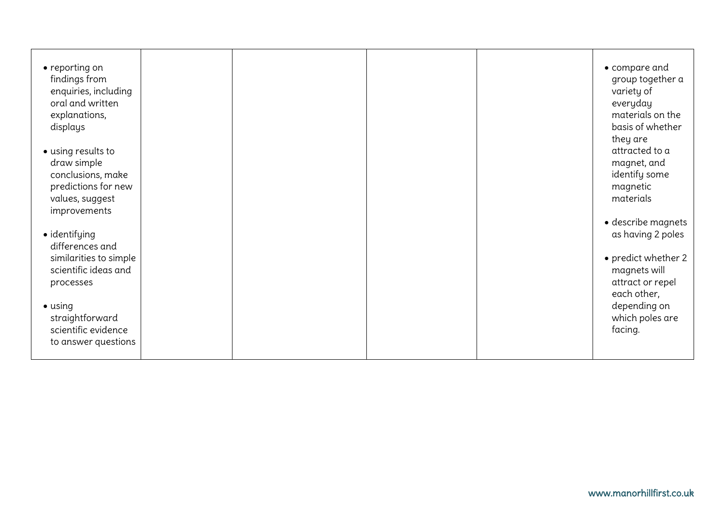| • reporting on<br>findings from<br>enquiries, including<br>oral and written<br>explanations,<br>displays<br>· using results to<br>draw simple<br>conclusions, make<br>predictions for new<br>values, suggest<br>improvements<br>· identifying<br>differences and<br>similarities to simple<br>scientific ideas and<br>processes<br>$\bullet$ using<br>straightforward<br>scientific evidence<br>to answer questions |  |  | • compare and<br>group together a<br>variety of<br>everyday<br>materials on the<br>basis of whether<br>they are<br>attracted to a<br>magnet, and<br>identify some<br>magnetic<br>materials<br>· describe magnets<br>as having 2 poles<br>• predict whether 2<br>magnets will<br>attract or repel<br>each other,<br>depending on<br>which poles are<br>facing. |
|---------------------------------------------------------------------------------------------------------------------------------------------------------------------------------------------------------------------------------------------------------------------------------------------------------------------------------------------------------------------------------------------------------------------|--|--|---------------------------------------------------------------------------------------------------------------------------------------------------------------------------------------------------------------------------------------------------------------------------------------------------------------------------------------------------------------|
|                                                                                                                                                                                                                                                                                                                                                                                                                     |  |  | www.manorhillfirst.co.uk                                                                                                                                                                                                                                                                                                                                      |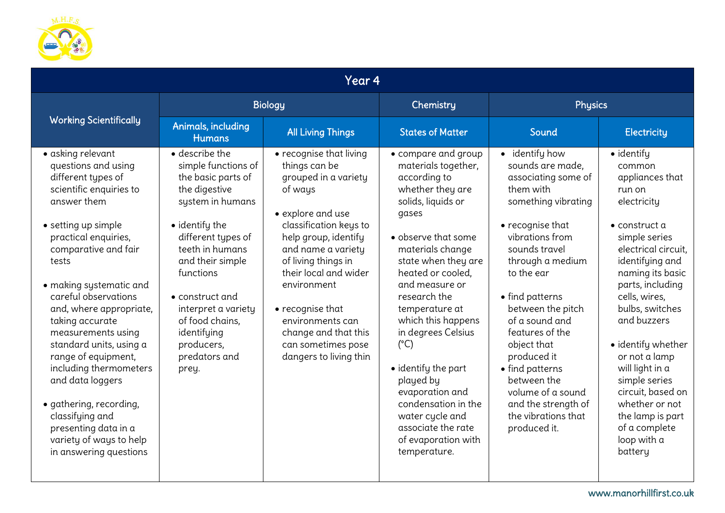

| Year 4                                                                                                                                                                                                                                                                                                                                                                                                                                                                                                                                     |                                                                                                                                                                                                                                                                                                                  |                                                                                                                                                                                                                                                                                                                                                         |                                                                                                                                                                                                                                                                                                                                                                                                                                                                                     |                                                                                                                                                                                                                                                                                                                                                                                                                         |                                                                                                                                                                                                                                                                                                                                                                                                                                  |  |
|--------------------------------------------------------------------------------------------------------------------------------------------------------------------------------------------------------------------------------------------------------------------------------------------------------------------------------------------------------------------------------------------------------------------------------------------------------------------------------------------------------------------------------------------|------------------------------------------------------------------------------------------------------------------------------------------------------------------------------------------------------------------------------------------------------------------------------------------------------------------|---------------------------------------------------------------------------------------------------------------------------------------------------------------------------------------------------------------------------------------------------------------------------------------------------------------------------------------------------------|-------------------------------------------------------------------------------------------------------------------------------------------------------------------------------------------------------------------------------------------------------------------------------------------------------------------------------------------------------------------------------------------------------------------------------------------------------------------------------------|-------------------------------------------------------------------------------------------------------------------------------------------------------------------------------------------------------------------------------------------------------------------------------------------------------------------------------------------------------------------------------------------------------------------------|----------------------------------------------------------------------------------------------------------------------------------------------------------------------------------------------------------------------------------------------------------------------------------------------------------------------------------------------------------------------------------------------------------------------------------|--|
|                                                                                                                                                                                                                                                                                                                                                                                                                                                                                                                                            | <b>Biology</b>                                                                                                                                                                                                                                                                                                   |                                                                                                                                                                                                                                                                                                                                                         | Chemistry                                                                                                                                                                                                                                                                                                                                                                                                                                                                           | <b>Physics</b>                                                                                                                                                                                                                                                                                                                                                                                                          |                                                                                                                                                                                                                                                                                                                                                                                                                                  |  |
| <b>Working Scientifically</b>                                                                                                                                                                                                                                                                                                                                                                                                                                                                                                              | Animals, including<br><b>Humans</b>                                                                                                                                                                                                                                                                              | <b>All Living Things</b>                                                                                                                                                                                                                                                                                                                                | <b>States of Matter</b>                                                                                                                                                                                                                                                                                                                                                                                                                                                             | Sound                                                                                                                                                                                                                                                                                                                                                                                                                   | <b>Electricity</b>                                                                                                                                                                                                                                                                                                                                                                                                               |  |
| • asking relevant<br>questions and using<br>different types of<br>scientific enquiries to<br>answer them<br>• setting up simple<br>practical enquiries,<br>comparative and fair<br>tests<br>· making systematic and<br>careful observations<br>and, where appropriate,<br>taking accurate<br>measurements using<br>standard units, using a<br>range of equipment,<br>including thermometers<br>and data loggers<br>· gathering, recording,<br>classifying and<br>presenting data in a<br>variety of ways to help<br>in answering questions | · describe the<br>simple functions of<br>the basic parts of<br>the digestive<br>system in humans<br>• identify the<br>different types of<br>teeth in humans<br>and their simple<br>functions<br>• construct and<br>interpret a variety<br>of food chains,<br>identifying<br>producers,<br>predators and<br>prey. | • recognise that living<br>things can be<br>grouped in a variety<br>of ways<br>• explore and use<br>classification keys to<br>help group, identify<br>and name a variety<br>of living things in<br>their local and wider<br>environment<br>• recognise that<br>environments can<br>change and that this<br>can sometimes pose<br>dangers to living thin | • compare and group<br>materials together,<br>according to<br>whether they are<br>solids, liquids or<br>gases<br>• observe that some<br>materials change<br>state when they are<br>heated or cooled.<br>and measure or<br>research the<br>temperature at<br>which this happens<br>in degrees Celsius<br>$(^{\circ}C)$<br>• identify the part<br>played by<br>evaporation and<br>condensation in the<br>water cycle and<br>associate the rate<br>of evaporation with<br>temperature. | • identify how<br>sounds are made,<br>associating some of<br>them with<br>something vibrating<br>• recognise that<br>vibrations from<br>sounds travel<br>through a medium<br>to the ear<br>• find patterns<br>between the pitch<br>of a sound and<br>features of the<br>object that<br>produced it<br>• find patterns<br>between the<br>volume of a sound<br>and the strength of<br>the vibrations that<br>produced it. | · identify<br>common<br>appliances that<br>run on<br>electricity<br>$\bullet$ construct a<br>simple series<br>electrical circuit,<br>identifying and<br>naming its basic<br>parts, including<br>cells, wires,<br>bulbs, switches<br>and buzzers<br>· identify whether<br>or not a lamp<br>will light in a<br>simple series<br>circuit, based on<br>whether or not<br>the lamp is part<br>of a complete<br>loop with a<br>battery |  |